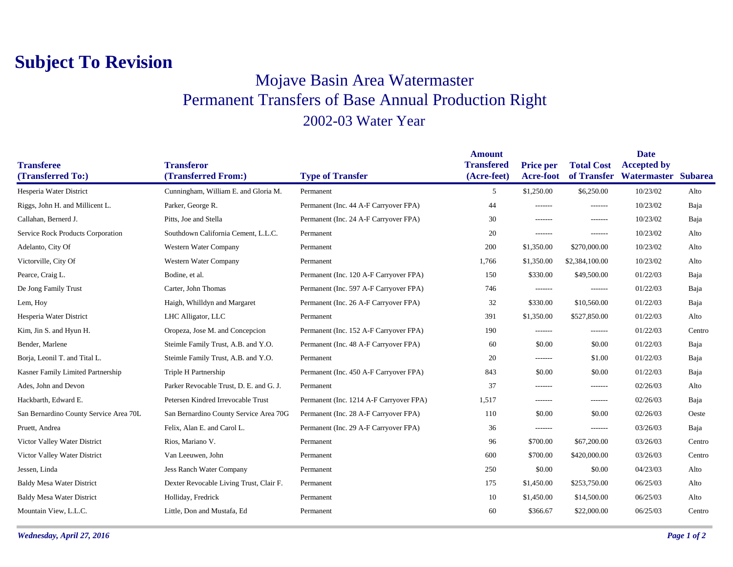## **Subject To Revision**

## Mojave Basin Area Watermaster Permanent Transfers of Base Annual Production Right 2002-03 Water Year

|                                        |                                          |                                         | <b>Amount</b>                    |                                      |                                  | <b>Date</b>                               |        |
|----------------------------------------|------------------------------------------|-----------------------------------------|----------------------------------|--------------------------------------|----------------------------------|-------------------------------------------|--------|
| <b>Transferee</b><br>(Transferred To:) | <b>Transferor</b><br>(Transferred From:) |                                         | <b>Transfered</b><br>(Acre-feet) | <b>Price per</b><br><b>Acre-foot</b> | <b>Total Cost</b><br>of Transfer | <b>Accepted by</b><br>Watermaster Subarea |        |
|                                        |                                          | <b>Type of Transfer</b>                 |                                  |                                      |                                  |                                           |        |
| Hesperia Water District                | Cunningham, William E. and Gloria M.     | Permanent                               | 5                                | \$1,250.00                           | \$6,250.00                       | 10/23/02                                  | Alto   |
| Riggs, John H. and Millicent L.        | Parker, George R.                        | Permanent (Inc. 44 A-F Carryover FPA)   | 44                               | -------                              | -------                          | 10/23/02                                  | Baja   |
| Callahan, Bernerd J.                   | Pitts, Joe and Stella                    | Permanent (Inc. 24 A-F Carryover FPA)   | 30                               | -------                              | -------                          | 10/23/02                                  | Baja   |
| Service Rock Products Corporation      | Southdown California Cement, L.L.C.      | Permanent                               | 20                               | $-----$                              | -------                          | 10/23/02                                  | Alto   |
| Adelanto, City Of                      | Western Water Company                    | Permanent                               | 200                              | \$1,350.00                           | \$270,000.00                     | 10/23/02                                  | Alto   |
| Victorville, City Of                   | Western Water Company                    | Permanent                               | 1,766                            | \$1,350.00                           | \$2,384,100.00                   | 10/23/02                                  | Alto   |
| Pearce, Craig L.                       | Bodine, et al.                           | Permanent (Inc. 120 A-F Carryover FPA)  | 150                              | \$330.00                             | \$49,500.00                      | 01/22/03                                  | Baja   |
| De Jong Family Trust                   | Carter, John Thomas                      | Permanent (Inc. 597 A-F Carryover FPA)  | 746                              | -------                              | -------                          | 01/22/03                                  | Baja   |
| Lem, Hoy                               | Haigh, Whilldyn and Margaret             | Permanent (Inc. 26 A-F Carryover FPA)   | 32                               | \$330.00                             | \$10,560.00                      | 01/22/03                                  | Baja   |
| Hesperia Water District                | LHC Alligator, LLC                       | Permanent                               | 391                              | \$1,350.00                           | \$527,850.00                     | 01/22/03                                  | Alto   |
| Kim, Jin S. and Hyun H.                | Oropeza, Jose M. and Concepcion          | Permanent (Inc. 152 A-F Carryover FPA)  | 190                              | -------                              | -------                          | 01/22/03                                  | Centro |
| Bender, Marlene                        | Steimle Family Trust, A.B. and Y.O.      | Permanent (Inc. 48 A-F Carryover FPA)   | 60                               | \$0.00                               | \$0.00                           | 01/22/03                                  | Baja   |
| Borja, Leonil T. and Tital L.          | Steimle Family Trust, A.B. and Y.O.      | Permanent                               | 20                               | -------                              | \$1.00                           | 01/22/03                                  | Baja   |
| Kasner Family Limited Partnership      | Triple H Partnership                     | Permanent (Inc. 450 A-F Carryover FPA)  | 843                              | \$0.00                               | \$0.00                           | 01/22/03                                  | Baja   |
| Ades, John and Devon                   | Parker Revocable Trust, D. E. and G. J.  | Permanent                               | 37                               | -------                              | -------                          | 02/26/03                                  | Alto   |
| Hackbarth, Edward E.                   | Petersen Kindred Irrevocable Trust       | Permanent (Inc. 1214 A-F Carryover FPA) | 1,517                            | -------                              | -------                          | 02/26/03                                  | Baja   |
| San Bernardino County Service Area 70L | San Bernardino County Service Area 70G   | Permanent (Inc. 28 A-F Carryover FPA)   | 110                              | \$0.00                               | \$0.00                           | 02/26/03                                  | Oeste  |
| Pruett, Andrea                         | Felix, Alan E. and Carol L.              | Permanent (Inc. 29 A-F Carryover FPA)   | 36                               | -------                              | -------                          | 03/26/03                                  | Baja   |
| Victor Valley Water District           | Rios, Mariano V.                         | Permanent                               | 96                               | \$700.00                             | \$67,200.00                      | 03/26/03                                  | Centro |
| Victor Valley Water District           | Van Leeuwen, John                        | Permanent                               | 600                              | \$700.00                             | \$420,000.00                     | 03/26/03                                  | Centro |
| Jessen, Linda                          | <b>Jess Ranch Water Company</b>          | Permanent                               | 250                              | \$0.00                               | \$0.00                           | 04/23/03                                  | Alto   |
| <b>Baldy Mesa Water District</b>       | Dexter Revocable Living Trust, Clair F.  | Permanent                               | 175                              | \$1,450.00                           | \$253,750.00                     | 06/25/03                                  | Alto   |
| <b>Baldy Mesa Water District</b>       | Holliday, Fredrick                       | Permanent                               | 10                               | \$1,450.00                           | \$14,500.00                      | 06/25/03                                  | Alto   |
| Mountain View, L.L.C.                  | Little, Don and Mustafa, Ed              | Permanent                               | 60                               | \$366.67                             | \$22,000.00                      | 06/25/03                                  | Centro |